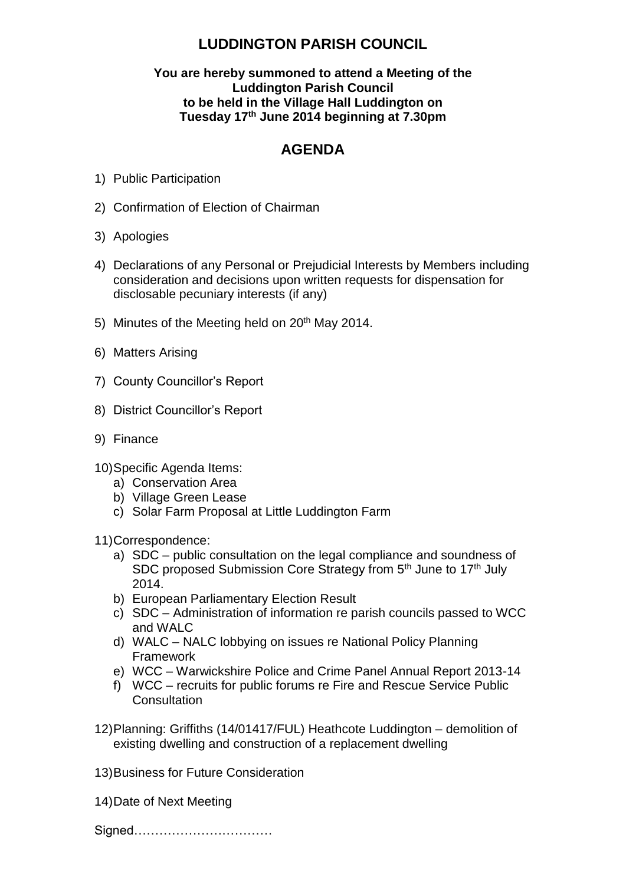## **LUDDINGTON PARISH COUNCIL**

## **You are hereby summoned to attend a Meeting of the Luddington Parish Council to be held in the Village Hall Luddington on Tuesday 17 th June 2014 beginning at 7.30pm**

## **AGENDA**

- 1) Public Participation
- 2) Confirmation of Election of Chairman
- 3) Apologies
- 4) Declarations of any Personal or Prejudicial Interests by Members including consideration and decisions upon written requests for dispensation for disclosable pecuniary interests (if any)
- 5) Minutes of the Meeting held on 20<sup>th</sup> May 2014.
- 6) Matters Arising
- 7) County Councillor's Report
- 8) District Councillor's Report
- 9) Finance
- 10)Specific Agenda Items:
	- a) Conservation Area
	- b) Village Green Lease
	- c) Solar Farm Proposal at Little Luddington Farm

11)Correspondence:

- a) SDC public consultation on the legal compliance and soundness of SDC proposed Submission Core Strategy from 5<sup>th</sup> June to 17<sup>th</sup> July 2014.
- b) European Parliamentary Election Result
- c) SDC Administration of information re parish councils passed to WCC and WALC
- d) WALC NALC lobbying on issues re National Policy Planning Framework
- e) WCC Warwickshire Police and Crime Panel Annual Report 2013-14
- f) WCC recruits for public forums re Fire and Rescue Service Public **Consultation**
- 12)Planning: Griffiths (14/01417/FUL) Heathcote Luddington demolition of existing dwelling and construction of a replacement dwelling

13)Business for Future Consideration

14)Date of Next Meeting

Signed……………………………